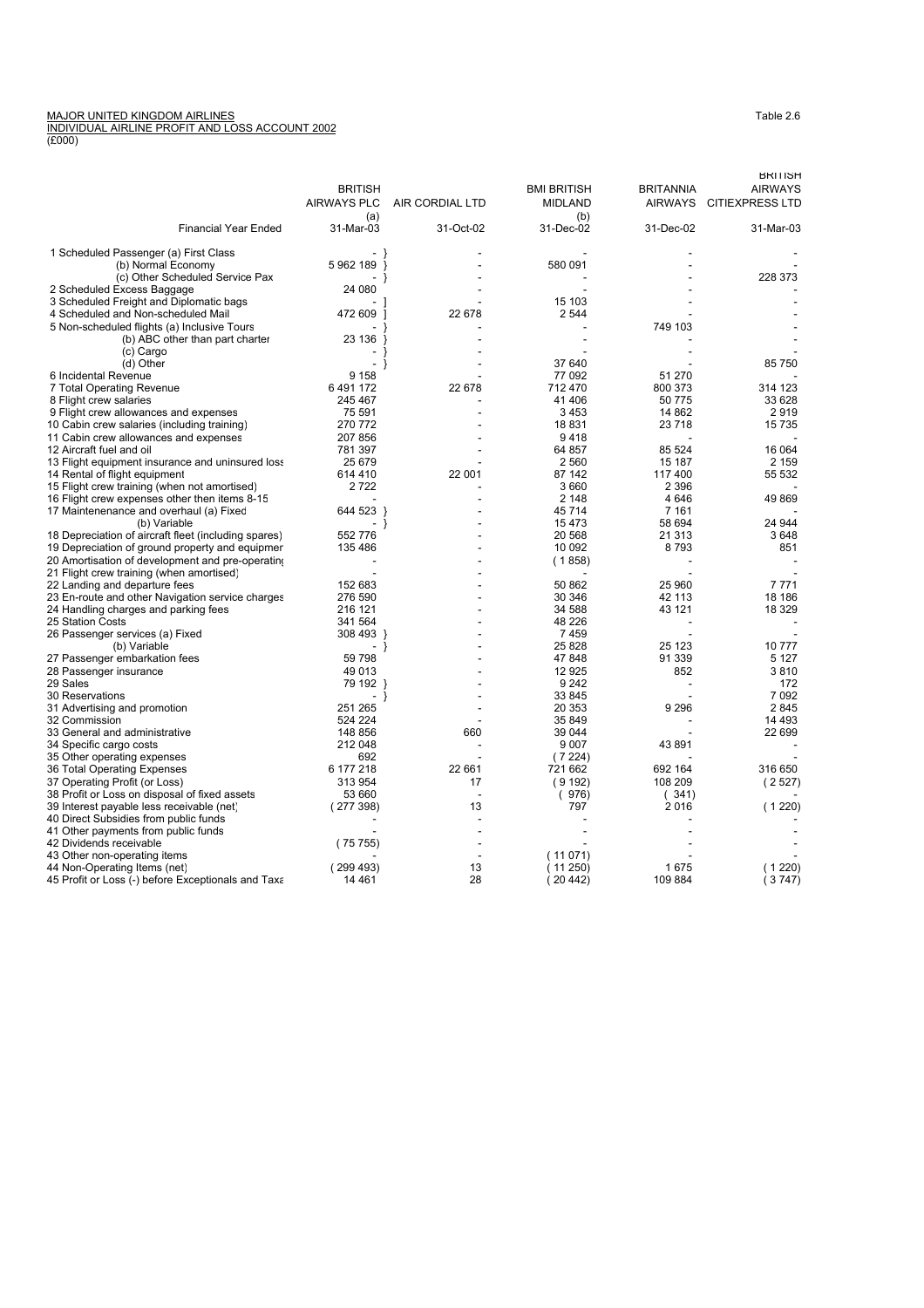## MAJOR UNITED KINGDOM AIRLINES<br><u>INDIVIDUAL AIRLINE PROFIT AND LOSS ACCOUNT 2002</u><br>(£000)

|                                                                 |                          |                 |                    |                   | <b>BRITISH</b>          |
|-----------------------------------------------------------------|--------------------------|-----------------|--------------------|-------------------|-------------------------|
|                                                                 | <b>BRITISH</b>           |                 | <b>BMI BRITISH</b> | <b>BRITANNIA</b>  | <b>AIRWAYS</b>          |
|                                                                 | <b>AIRWAYS PLC</b>       | AIR CORDIAL LTD | <b>MIDLAND</b>     |                   | AIRWAYS CITIEXPRESS LTD |
| <b>Financial Year Ended</b>                                     | (a)<br>31-Mar-03         | 31-Oct-02       | (b)<br>31-Dec-02   | 31-Dec-02         | 31-Mar-03               |
|                                                                 |                          |                 |                    |                   |                         |
| 1 Scheduled Passenger (a) First Class                           | $\overline{\phantom{a}}$ |                 |                    |                   |                         |
| (b) Normal Economy                                              | 5962189 }                |                 | 580 091            |                   |                         |
| (c) Other Scheduled Service Pax                                 |                          |                 |                    |                   | 228 373                 |
| 2 Scheduled Excess Baggage                                      | 24 080                   |                 |                    |                   |                         |
| 3 Scheduled Freight and Diplomatic bags                         |                          |                 | 15 103             |                   |                         |
| 4 Scheduled and Non-scheduled Mail                              | 472 609                  | 22 678          | 2 5 4 4            |                   |                         |
| 5 Non-scheduled flights (a) Inclusive Tours                     |                          |                 |                    | 749 103           |                         |
| (b) ABC other than part charter                                 | 23 136                   |                 |                    |                   |                         |
| (c) Cargo                                                       |                          |                 |                    |                   |                         |
| (d) Other                                                       |                          |                 | 37 640             |                   | 85 750                  |
| 6 Incidental Revenue                                            | 9 1 5 8                  |                 | 77 092             | 51 270            |                         |
| 7 Total Operating Revenue                                       | 6491172<br>245 467       | 22 678          | 712 470<br>41 406  | 800 373<br>50 775 | 314 123<br>33 628       |
| 8 Flight crew salaries<br>9 Flight crew allowances and expenses | 75 591                   |                 | 3453               | 14 862            | 2919                    |
| 10 Cabin crew salaries (including training)                     | 270 772                  |                 | 18831              | 23 718            | 15 7 35                 |
| 11 Cabin crew allowances and expenses                           | 207 856                  |                 | 9418               |                   |                         |
| 12 Aircraft fuel and oil                                        | 781 397                  |                 | 64 857             | 85 524            | 16 064                  |
| 13 Flight equipment insurance and uninsured loss                | 25 679                   |                 | 2 5 6 0            | 15 187            | 2 1 5 9                 |
| 14 Rental of flight equipment                                   | 614 410                  | 22 001          | 87 142             | 117400            | 55 532                  |
| 15 Flight crew training (when not amortised)                    | 2722                     |                 | 3 6 6 0            | 2 3 9 6           |                         |
| 16 Flight crew expenses other then items 8-15                   |                          |                 | 2 1 4 8            | 4646              | 49 869                  |
| 17 Maintenenance and overhaul (a) Fixed                         | 644 523 }                |                 | 45 714             | 7 1 6 1           |                         |
| (b) Variable                                                    | $\blacksquare$<br>}      |                 | 15 4 73            | 58 694            | 24 944                  |
| 18 Depreciation of aircraft fleet (including spares)            | 552 776                  |                 | 20 568             | 21 313            | 3648                    |
| 19 Depreciation of ground property and equipmer                 | 135 486                  |                 | 10 092             | 8793              | 851                     |
| 20 Amortisation of development and pre-operating                |                          |                 | (1858)             |                   |                         |
| 21 Flight crew training (when amortised)                        |                          |                 |                    |                   |                         |
| 22 Landing and departure fees                                   | 152 683                  |                 | 50 862             | 25 960            | 7771                    |
| 23 En-route and other Navigation service charges                | 276 590                  |                 | 30 346             | 42 113            | 18 18 6                 |
| 24 Handling charges and parking fees                            | 216 121                  |                 | 34 588             | 43 121            | 18 3 29                 |
| 25 Station Costs                                                | 341 564                  |                 | 48 226             |                   |                         |
| 26 Passenger services (a) Fixed                                 | 308 493 }                |                 | 7459               |                   |                         |
| (b) Variable                                                    | ٠<br>- }                 |                 | 25 8 28            | 25 123            | 10 777                  |
| 27 Passenger embarkation fees                                   | 59 798<br>49 013         |                 | 47 848<br>12 9 25  | 91 339<br>852     | 5 1 2 7<br>3810         |
| 28 Passenger insurance<br>29 Sales                              | 79 192 }                 |                 | 9 2 4 2            |                   | 172                     |
| 30 Reservations                                                 | $\sim$<br>}              |                 | 33 845             |                   | 7 0 9 2                 |
| 31 Advertising and promotion                                    | 251 265                  |                 | 20 353             | 9 2 9 6           | 2845                    |
| 32 Commission                                                   | 524 224                  |                 | 35 849             |                   | 14 4 9 3                |
| 33 General and administrative                                   | 148 856                  | 660             | 39 044             |                   | 22 699                  |
| 34 Specific cargo costs                                         | 212 048                  |                 | 9 0 0 7            | 43 891            |                         |
| 35 Other operating expenses                                     | 692                      |                 | (7224)             |                   |                         |
| 36 Total Operating Expenses                                     | 6 177 218                | 22 661          | 721 662            | 692 164           | 316 650                 |
| 37 Operating Profit (or Loss)                                   | 313 954                  | 17              | (9192)             | 108 209           | (2527)                  |
| 38 Profit or Loss on disposal of fixed assets                   | 53 660                   |                 | (976)              | (341)             |                         |
| 39 Interest payable less receivable (net)                       | (277398)                 | 13              | 797                | 2016              | (1220)                  |
| 40 Direct Subsidies from public funds                           |                          |                 |                    |                   |                         |
| 41 Other payments from public funds                             |                          |                 |                    |                   |                         |
| 42 Dividends receivable                                         | (75755)                  |                 |                    |                   |                         |
| 43 Other non-operating items                                    |                          |                 | (11071)            |                   |                         |
| 44 Non-Operating Items (net)                                    | (299493)                 | 13              | (11 250)           | 1675              | (1220)                  |
| 45 Profit or Loss (-) before Exceptionals and Taxa              | 14 4 61                  | 28              | (20442)            | 109 884           | (3747)                  |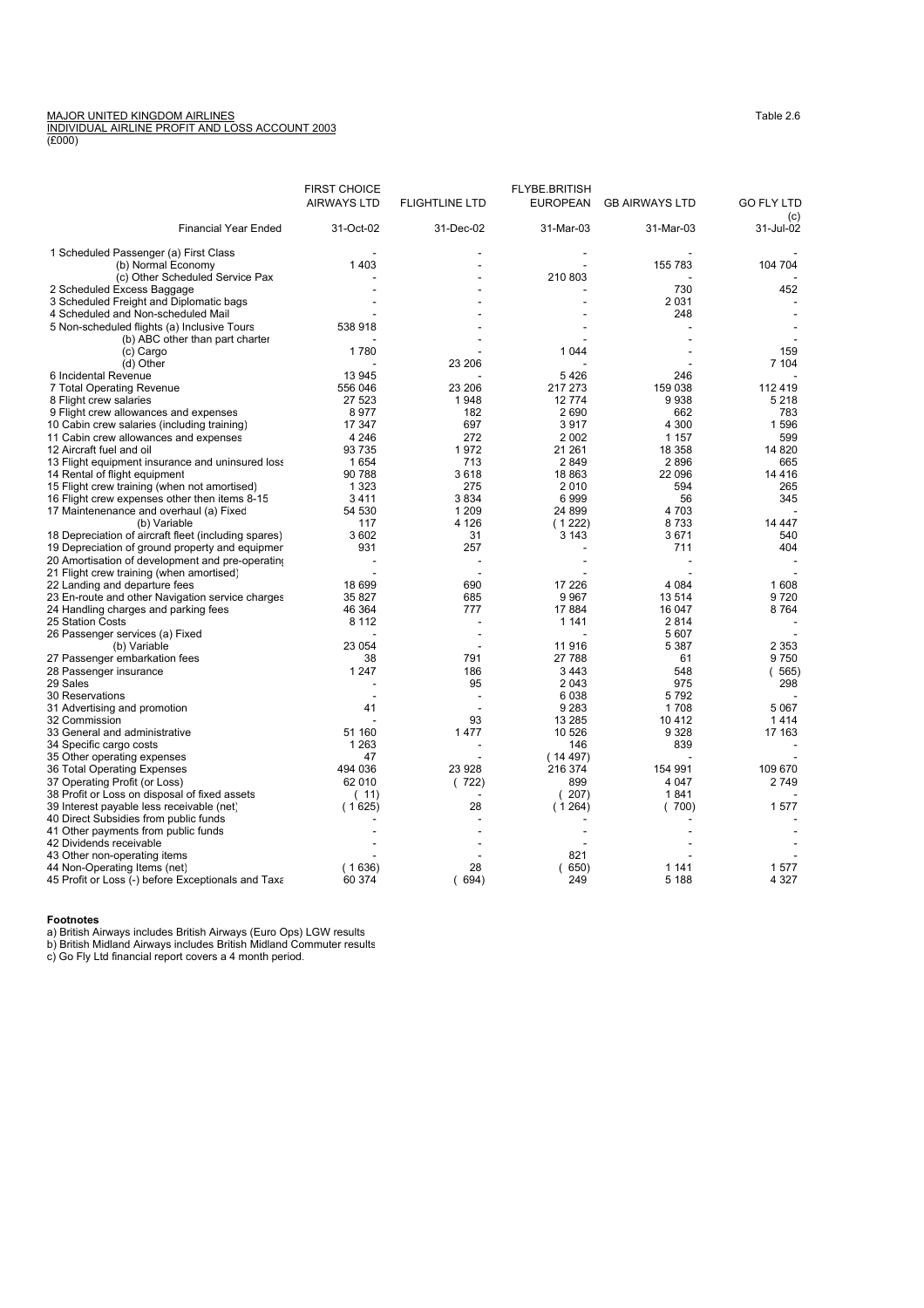## MAJOR UNITED KINGDOM AIRLINES<br><u>INDIVIDUAL AIRLINE PROFIT AND LOSS ACCOUNT 2003</u><br>(£000)

|                                                                                   | <b>FIRST CHOICE</b> |                       | <b>FLYBE.BRITISH</b> |                       |                          |
|-----------------------------------------------------------------------------------|---------------------|-----------------------|----------------------|-----------------------|--------------------------|
|                                                                                   | <b>AIRWAYS LTD</b>  | <b>FLIGHTLINE LTD</b> | <b>EUROPEAN</b>      | <b>GB AIRWAYS LTD</b> | <b>GO FLY LTD</b><br>(C) |
| <b>Financial Year Ended</b>                                                       | 31-Oct-02           | 31-Dec-02             | 31-Mar-03            | 31-Mar-03             | 31-Jul-02                |
| 1 Scheduled Passenger (a) First Class                                             |                     |                       |                      |                       |                          |
| (b) Normal Economy                                                                | 1403                |                       |                      | 155 783               | 104 704                  |
| (c) Other Scheduled Service Pax                                                   |                     |                       | 210 803              |                       |                          |
| 2 Scheduled Excess Baggage                                                        |                     |                       |                      | 730                   | 452                      |
| 3 Scheduled Freight and Diplomatic bags                                           |                     |                       |                      | 2031                  |                          |
| 4 Scheduled and Non-scheduled Mail<br>5 Non-scheduled flights (a) Inclusive Tours | 538 918             |                       |                      | 248                   |                          |
| (b) ABC other than part charter                                                   |                     |                       |                      |                       |                          |
| (c) Cargo                                                                         | 1780                |                       | 1 0 4 4              |                       | 159                      |
| (d) Other                                                                         |                     | 23 206                |                      |                       | 7 104                    |
| 6 Incidental Revenue                                                              | 13 945              |                       | 5426                 | 246                   |                          |
| 7 Total Operating Revenue                                                         | 556 046             | 23 206                | 217 273              | 159 038               | 112 419                  |
| 8 Flight crew salaries                                                            | 27 523              | 1948                  | 12774                | 9938                  | 5 2 1 8                  |
| 9 Flight crew allowances and expenses                                             | 8977                | 182                   | 2690                 | 662                   | 783                      |
| 10 Cabin crew salaries (including training)                                       | 17 347              | 697                   | 3917                 | 4 3 0 0               | 1596                     |
| 11 Cabin crew allowances and expenses                                             | 4 2 4 6             | 272                   | 2 0 0 2              | 1 1 5 7               | 599                      |
| 12 Aircraft fuel and oil<br>13 Flight equipment insurance and uninsured loss      | 93 735<br>1654      | 1972<br>713           | 21 261<br>2849       | 18 358<br>2896        | 14 8 20<br>665           |
| 14 Rental of flight equipment                                                     | 90 788              | 3618                  | 18 863               | 22 096                | 14 4 16                  |
| 15 Flight crew training (when not amortised)                                      | 1 3 2 3             | 275                   | 2010                 | 594                   | 265                      |
| 16 Flight crew expenses other then items 8-15                                     | 3411                | 3834                  | 6999                 | 56                    | 345                      |
| 17 Maintenenance and overhaul (a) Fixed                                           | 54 530              | 1 2 0 9               | 24 899               | 4 703                 |                          |
| (b) Variable                                                                      | 117                 | 4 1 2 6               | (1222)               | 8733                  | 14 447                   |
| 18 Depreciation of aircraft fleet (including spares)                              | 3602                | 31                    | 3 1 4 3              | 3671                  | 540                      |
| 19 Depreciation of ground property and equipmer                                   | 931                 | 257                   |                      | 711                   | 404                      |
| 20 Amortisation of development and pre-operating                                  |                     |                       |                      |                       |                          |
| 21 Flight crew training (when amortised)                                          |                     |                       |                      |                       |                          |
| 22 Landing and departure fees                                                     | 18 699              | 690                   | 17 226               | 4 0 8 4               | 1608                     |
| 23 En-route and other Navigation service charges                                  | 35 827<br>46 364    | 685<br>777            | 9967<br>17884        | 13 514<br>16 047      | 9720<br>8764             |
| 24 Handling charges and parking fees<br>25 Station Costs                          | 8 1 1 2             |                       | 1 1 4 1              | 2814                  |                          |
| 26 Passenger services (a) Fixed                                                   |                     |                       |                      | 5 607                 |                          |
| (b) Variable                                                                      | 23 054              |                       | 11916                | 5 3 8 7               | 2 3 5 3                  |
| 27 Passenger embarkation fees                                                     | 38                  | 791                   | 27 788               | 61                    | 9750                     |
| 28 Passenger insurance                                                            | 1 2 4 7             | 186                   | 3443                 | 548                   | 565)<br>(                |
| 29 Sales                                                                          |                     | 95                    | 2 0 4 3              | 975                   | 298                      |
| 30 Reservations                                                                   |                     |                       | 6038                 | 5792                  |                          |
| 31 Advertising and promotion                                                      | 41                  |                       | 9 2 8 3              | 1708                  | 5067                     |
| 32 Commission                                                                     |                     | 93                    | 13 285               | 10412                 | 1414                     |
| 33 General and administrative                                                     | 51 160              | 1477                  | 10 526               | 9 3 2 8               | 17 163                   |
| 34 Specific cargo costs                                                           | 1 2 6 3<br>47       |                       | 146<br>(14497)       | 839                   |                          |
| 35 Other operating expenses<br>36 Total Operating Expenses                        | 494 036             | 23 928                | 216 374              | 154 991               | 109 670                  |
| 37 Operating Profit (or Loss)                                                     | 62 010              | (722)                 | 899                  | 4 0 4 7               | 2749                     |
| 38 Profit or Loss on disposal of fixed assets                                     | (11)                |                       | (207)                | 1841                  |                          |
| 39 Interest payable less receivable (net)                                         | (1625)              | 28                    | (1264)               | (700)                 | 1577                     |
| 40 Direct Subsidies from public funds                                             |                     |                       |                      |                       |                          |
| 41 Other payments from public funds                                               |                     |                       |                      |                       |                          |
| 42 Dividends receivable                                                           |                     |                       |                      |                       |                          |
| 43 Other non-operating items                                                      |                     |                       | 821                  |                       |                          |
| 44 Non-Operating Items (net)                                                      | (1636)              | 28                    | (650)                | 1 1 4 1               | 1577                     |
| 45 Profit or Loss (-) before Exceptionals and Taxa                                | 60 374              | (694)                 | 249                  | 5 1 8 8               | 4 3 2 7                  |

**Footnotes**<br>a) British Airways includes British Airways (Euro Ops) LGW results<br>b) British Midland Airways includes British Midland Commuter results<br>c) Go Fly Ltd financial report covers a 4 month period.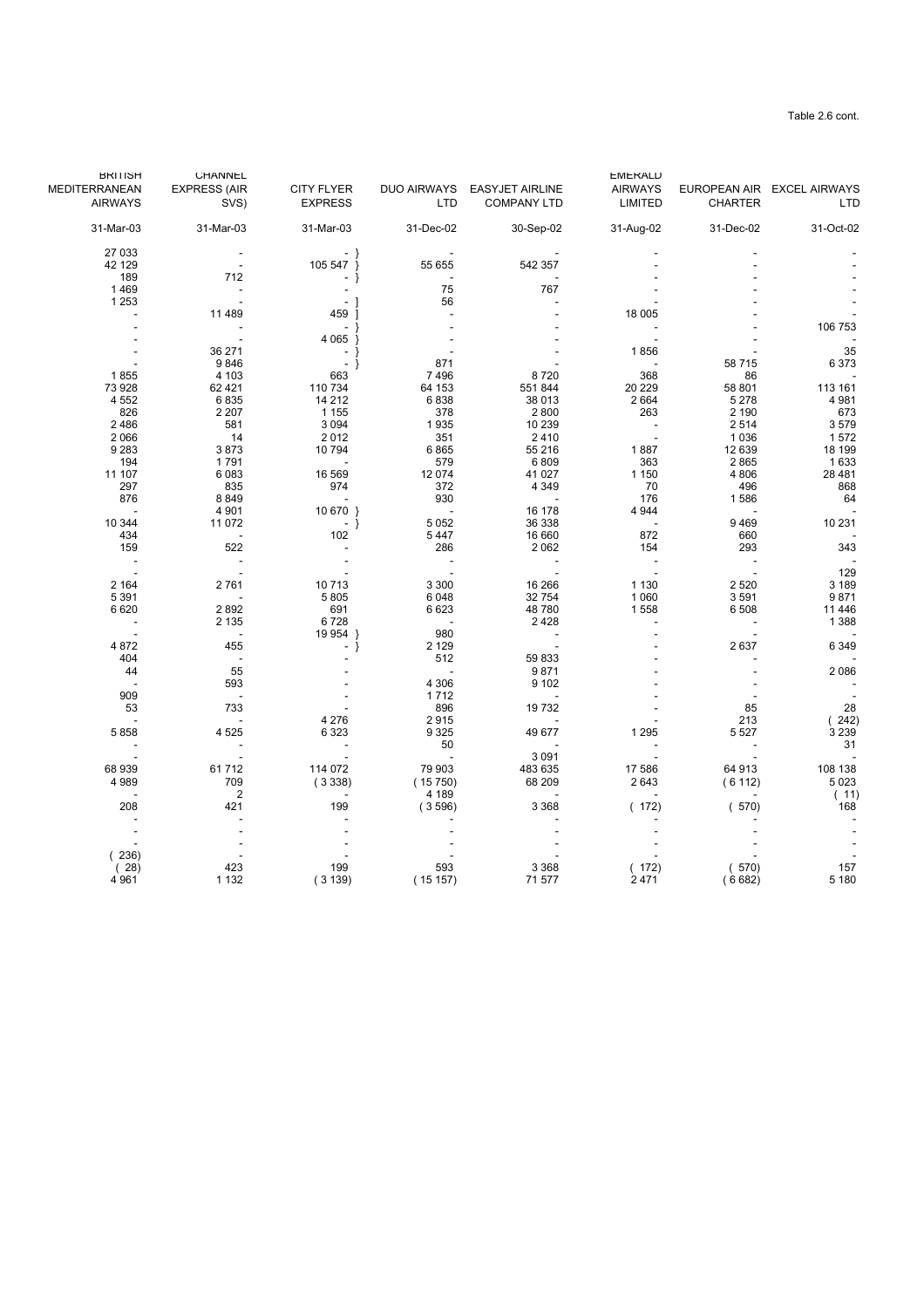| <b>BRITISH</b>           | <b>CHANNEL</b>      |                          |                          |                             | <b>EMERALD</b> |                |                            |
|--------------------------|---------------------|--------------------------|--------------------------|-----------------------------|----------------|----------------|----------------------------|
| MEDITERRANEAN            | <b>EXPRESS (AIR</b> | <b>CITY FLYER</b>        |                          | DUO AIRWAYS EASYJET AIRLINE | <b>AIRWAYS</b> |                | EUROPEAN AIR EXCEL AIRWAYS |
| <b>AIRWAYS</b>           | SVS)                | <b>EXPRESS</b>           | <b>LTD</b>               | <b>COMPANY LTD</b>          | LIMITED        | <b>CHARTER</b> | <b>LTD</b>                 |
| 31-Mar-03                | 31-Mar-03           | 31-Mar-03                | 31-Dec-02                | 30-Sep-02                   | 31-Aug-02      | 31-Dec-02      | 31-Oct-02                  |
| 27 033                   |                     |                          |                          |                             |                |                |                            |
| 42 129                   |                     | 105 547 }                | 55 655                   | 542 357                     |                |                |                            |
| 189                      | 712                 | - }                      |                          |                             |                |                |                            |
| 1469                     |                     |                          | 75                       | 767                         |                |                |                            |
| 1 2 5 3                  |                     | $\overline{\phantom{a}}$ | 56                       |                             |                |                |                            |
|                          | 11 489              | 459                      |                          |                             | 18 005         |                |                            |
|                          |                     | $\sim$                   |                          |                             |                |                | 106 753                    |
|                          |                     | 4 0 65 }                 |                          |                             |                |                |                            |
|                          | 36 271              | $-1$                     |                          |                             | 1856           |                | 35                         |
|                          | 9846                | $-$ }                    | 871                      |                             |                | 58715          | 6373                       |
| 1855                     | 4 103               | 663                      | 7496                     | 8720                        | 368            | 86             |                            |
| 73 928                   | 62 4 21             | 110 734                  | 64 153                   | 551 844                     | 20 229         | 58 801         | 113 161                    |
| 4 5 5 2                  | 6835                | 14 212                   | 6838                     | 38 013                      | 2 6 6 4        | 5 2 7 8        | 4 9 8 1                    |
| 826                      | 2 2 0 7             | 1 1 5 5                  | 378                      | 2800                        | 263            | 2 1 9 0        | 673                        |
| 2486                     | 581                 | 3 0 9 4                  | 1935                     | 10 239                      |                | 2514           | 3579                       |
| 2 0 6 6                  | 14                  | 2012                     | 351                      | 2410                        |                | 1 0 3 6        | 1572                       |
| 9 2 8 3                  | 3873                | 10 794                   | 6865                     | 55 216                      | 1887           | 12 639         | 18 199                     |
| 194                      | 1791                | $\sim$ $-$               | 579                      | 6809                        | 363            | 2865           | 1633                       |
| 11 107                   | 6 0 8 3             | 16 569                   | 12 074                   | 41 027                      | 1 150          | 4 8 0 6        | 28 4 8 1                   |
| 297                      | 835                 | 974                      | 372                      | 4 3 4 9                     | 70             | 496            | 868                        |
| 876                      | 8849                | $\sim$ $-$               | 930                      | <b>Contract</b>             | 176            | 1586           | 64                         |
|                          | 4 9 0 1             | 10 670 }                 | $\sim 100$               | 16 178                      | 4 9 4 4        |                |                            |
| 10 344                   | 11 072              | $-$ }                    | 5 0 5 2                  | 36 338                      | $\sim$         | 9469           | 10 231                     |
| 434                      | $\sim$ $-$          | 102                      | 5447                     | 16 660                      | 872            | 660            |                            |
| 159                      | 522                 |                          | 286                      | 2 0 6 2                     | 154            | 293            | 343                        |
| $\sim$                   |                     |                          |                          |                             |                |                |                            |
| $\sim$                   |                     |                          | $\overline{\phantom{a}}$ |                             |                |                | 129                        |
| 2 1 6 4                  | 2761                | 10713                    | 3 3 0 0                  | 16 26 6                     | 1 1 3 0        | 2 5 2 0        | 3 189                      |
| 5 3 9 1                  |                     | 5805                     | 6 0 4 8                  | 32 754                      | 1 0 6 0        | 3591           | 9871                       |
| 6620                     | 2892                | 691                      | 6 6 23                   | 48 780                      | 1558           | 6508           | 11 4 46                    |
| $\overline{\phantom{a}}$ | 2 1 3 5             | 6728                     | $\sim$ $-$               | 2428                        |                |                | 1 3 8 8                    |
| $\sim$ $-$               | $\sim$              | 19 954 }                 | 980                      | $\sim 100$ km s $^{-1}$     |                |                |                            |
| 4 8 7 2                  | 455                 | $-$ }                    | 2 1 2 9                  |                             |                | 2637           | 6 3 4 9                    |
| 404                      | $\sim$ $-$          |                          | 512                      | 59 833                      |                |                |                            |
| 44                       | 55                  |                          |                          | 9871                        |                |                | 2086                       |
|                          | 593                 |                          | 4 3 0 6                  | 9 1 0 2                     |                |                |                            |
| 909                      | $\sim$              |                          | 1712                     | $\overline{\phantom{a}}$    |                |                |                            |
| 53                       | 733                 |                          | 896                      | 19732                       |                | 85             | 28                         |
| $\overline{\phantom{a}}$ |                     | 4 2 7 6                  | 2915                     |                             |                | 213            | (242)                      |
| 5858                     | 4 5 2 5             | 6 3 2 3                  | 9 3 2 5                  | 49 677                      | 1 2 9 5        | 5 5 2 7        | 3 2 3 9                    |
| $\sim$                   |                     | $\sim$                   | 50                       |                             |                |                | 31                         |
|                          |                     |                          |                          | 3 0 9 1                     |                |                |                            |
| 68 939                   | 61712               | 114 072                  | 79 903                   | 483 635                     | 17 586         | 64 913         | 108 138                    |
| 4989                     | 709                 | (3338)                   | (15750)                  | 68 209                      | 2643           | (6112)         | 5 0 2 3                    |
|                          | $\overline{2}$      |                          | 4 189                    |                             |                |                | (11)                       |
| 208                      | 421                 | 199                      | (3596)                   | 3 3 6 8                     | (172)          | (570)          | 168                        |
|                          |                     |                          |                          |                             |                |                |                            |
|                          |                     |                          |                          |                             |                |                |                            |
|                          |                     |                          |                          |                             |                |                |                            |
| (236)                    |                     |                          |                          |                             |                |                |                            |
| (28)                     | 423                 | 199                      | 593                      | 3 3 6 8                     | (172)          | (570)          | 157                        |
| 4 9 61                   | 1 1 3 2             | (3139)                   | (15157)                  | 71 577                      | 2471           | (6682)         | 5 180                      |
|                          |                     |                          |                          |                             |                |                |                            |